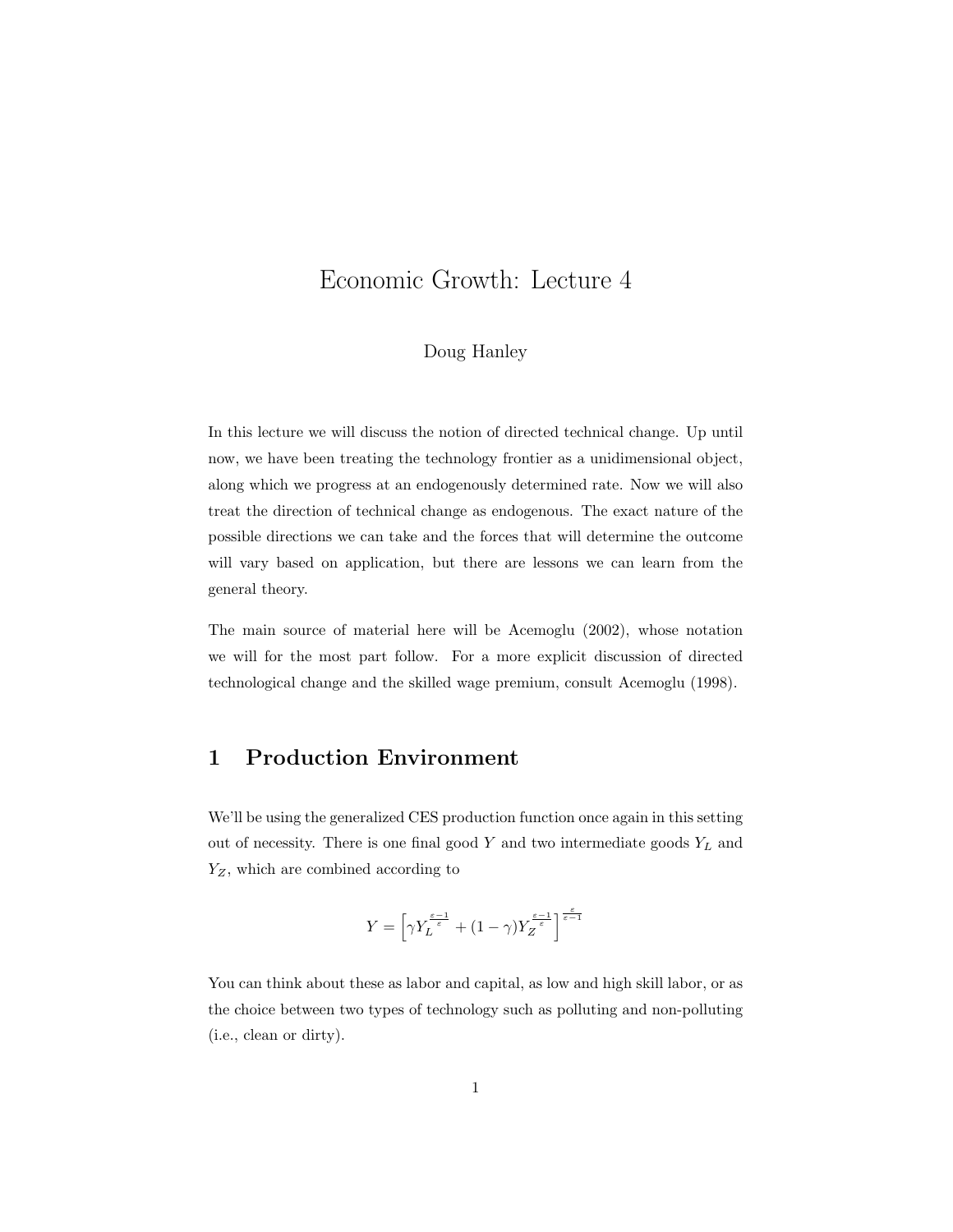# Economic Growth: Lecture 4

#### Doug Hanley

In this lecture we will discuss the notion of directed technical change. Up until now, we have been treating the technology frontier as a unidimensional object, along which we progress at an endogenously determined rate. Now we will also treat the direction of technical change as endogenous. The exact nature of the possible directions we can take and the forces that will determine the outcome will vary based on application, but there are lessons we can learn from the general theory.

The main source of material here will be Acemoglu (2002), whose notation we will for the most part follow. For a more explicit discussion of directed technological change and the skilled wage premium, consult Acemoglu (1998).

### 1 Production Environment

We'll be using the generalized CES production function once again in this setting out of necessity. There is one final good  $Y$  and two intermediate goods  $Y_L$  and  $\mathcal{Y}_Z,$  which are combined according to

$$
Y = \left[ \gamma Y_L^{\frac{\varepsilon-1}{\varepsilon}} + (1-\gamma) Y_Z^{\frac{\varepsilon-1}{\varepsilon}} \right]^{\frac{\varepsilon}{\varepsilon-1}}
$$

You can think about these as labor and capital, as low and high skill labor, or as the choice between two types of technology such as polluting and non-polluting (i.e., clean or dirty).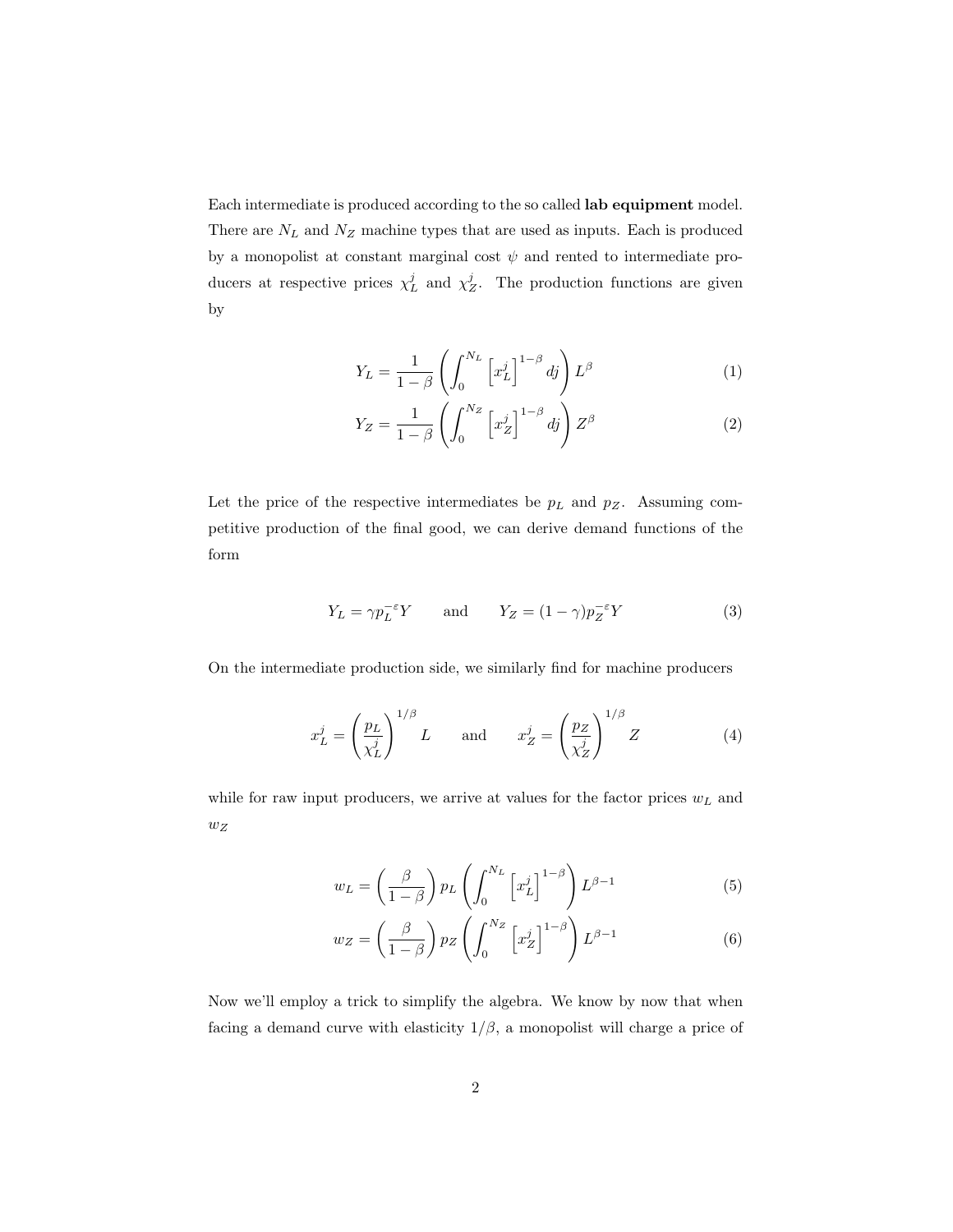Each intermediate is produced according to the so called lab equipment model. There are  ${\cal N}_L$  and  ${\cal N}_Z$  machine types that are used as inputs. Each is produced by a monopolist at constant marginal cost  $\psi$  and rented to intermediate producers at respective prices  $\chi^j_L$  and  $\chi^j_Z$ . The production functions are given by

$$
Y_L = \frac{1}{1-\beta} \left( \int_0^{N_L} \left[ x_L^j \right]^{1-\beta} dj \right) L^{\beta} \tag{1}
$$

$$
Y_Z = \frac{1}{1-\beta} \left( \int_0^{N_Z} \left[ x_Z^j \right]^{1-\beta} dj \right) Z^{\beta} \tag{2}
$$

Let the price of the respective intermediates be  $p<sub>L</sub>$  and  $p<sub>Z</sub>$ . Assuming competitive production of the final good, we can derive demand functions of the form

$$
Y_L = \gamma p_L^{-\varepsilon} Y \qquad \text{and} \qquad Y_Z = (1 - \gamma) p_Z^{-\varepsilon} Y \tag{3}
$$

On the intermediate production side, we similarly find for machine producers

$$
x_L^j = \left(\frac{p_L}{\chi_L^j}\right)^{1/\beta} L \quad \text{and} \quad x_Z^j = \left(\frac{p_Z}{\chi_Z^j}\right)^{1/\beta} Z \tag{4}
$$

while for raw input producers, we arrive at values for the factor prices  $w<sub>L</sub>$  and  $w_{\mathcal{Z}}$ 

$$
w_L = \left(\frac{\beta}{1-\beta}\right) p_L \left(\int_0^{N_L} \left[x_L^j\right]^{1-\beta}\right) L^{\beta-1} \tag{5}
$$

$$
w_Z = \left(\frac{\beta}{1-\beta}\right) p_Z \left(\int_0^{N_Z} \left[x_Z^j\right]^{1-\beta}\right) L^{\beta-1} \tag{6}
$$

Now we'll employ a trick to simplify the algebra. We know by now that when facing a demand curve with elasticity  $1/\beta$ , a monopolist will charge a price of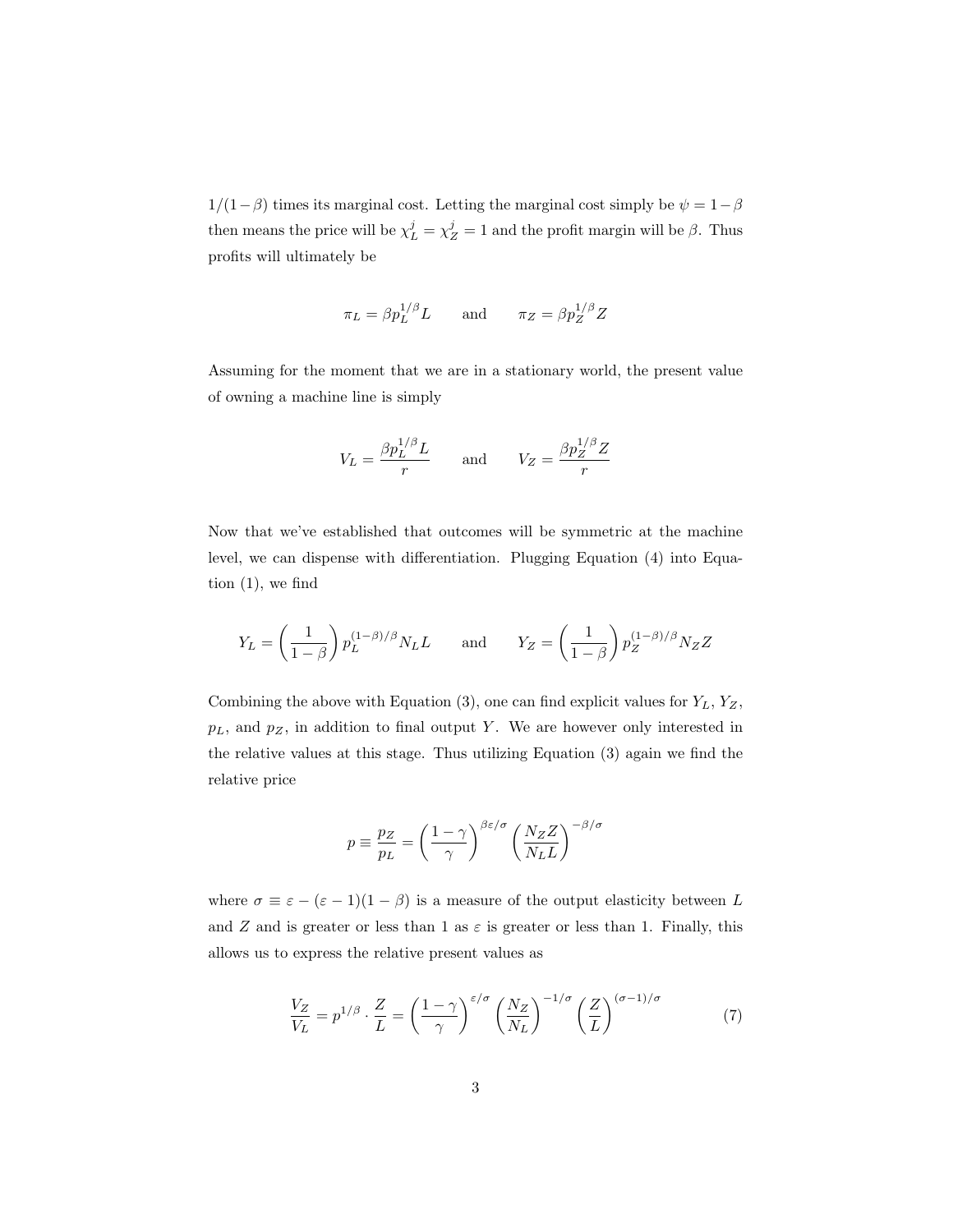$1/(1-\beta)$  times its marginal cost. Letting the marginal cost simply be  $\psi = 1-\beta$ then means the price will be  $\chi_L^j = \chi_Z^j = 1$  and the profit margin will be  $\beta$ . Thus profits will ultimately be

$$
\pi_L = \beta p_L^{1/\beta} L \quad \text{and} \quad \pi_Z = \beta p_Z^{1/\beta} Z
$$

Assuming for the moment that we are in a stationary world, the present value of owning a machine line is simply

$$
V_L = \frac{\beta p_L^{1/\beta} L}{r}
$$
 and 
$$
V_Z = \frac{\beta p_Z^{1/\beta} Z}{r}
$$

Now that we've established that outcomes will be symmetric at the machine level, we can dispense with differentiation. Plugging Equation (4) into Equation  $(1)$ , we find

$$
Y_L = \left(\frac{1}{1-\beta}\right) p_L^{(1-\beta)/\beta} N_L L \quad \text{and} \quad Y_Z = \left(\frac{1}{1-\beta}\right) p_Z^{(1-\beta)/\beta} N_Z Z
$$

Combining the above with Equation (3), one can find explicit values for  $Y_L$ ,  $Y_Z$ ,  $p<sub>L</sub>$ , and  $p<sub>Z</sub>$ , in addition to final output Y. We are however only interested in the relative values at this stage. Thus utilizing Equation (3) again we find the relative price

$$
p \equiv \frac{p_Z}{p_L} = \left(\frac{1-\gamma}{\gamma}\right)^{\beta \varepsilon/\sigma} \left(\frac{N_Z Z}{N_L L}\right)^{-\beta/\sigma}
$$

where  $\sigma \equiv \varepsilon - (\varepsilon - 1)(1 - \beta)$  is a measure of the output elasticity between L and Z and is greater or less than 1 as  $\varepsilon$  is greater or less than 1. Finally, this allows us to express the relative present values as

$$
\frac{V_Z}{V_L} = p^{1/\beta} \cdot \frac{Z}{L} = \left(\frac{1-\gamma}{\gamma}\right)^{\varepsilon/\sigma} \left(\frac{N_Z}{N_L}\right)^{-1/\sigma} \left(\frac{Z}{L}\right)^{(\sigma-1)/\sigma} \tag{7}
$$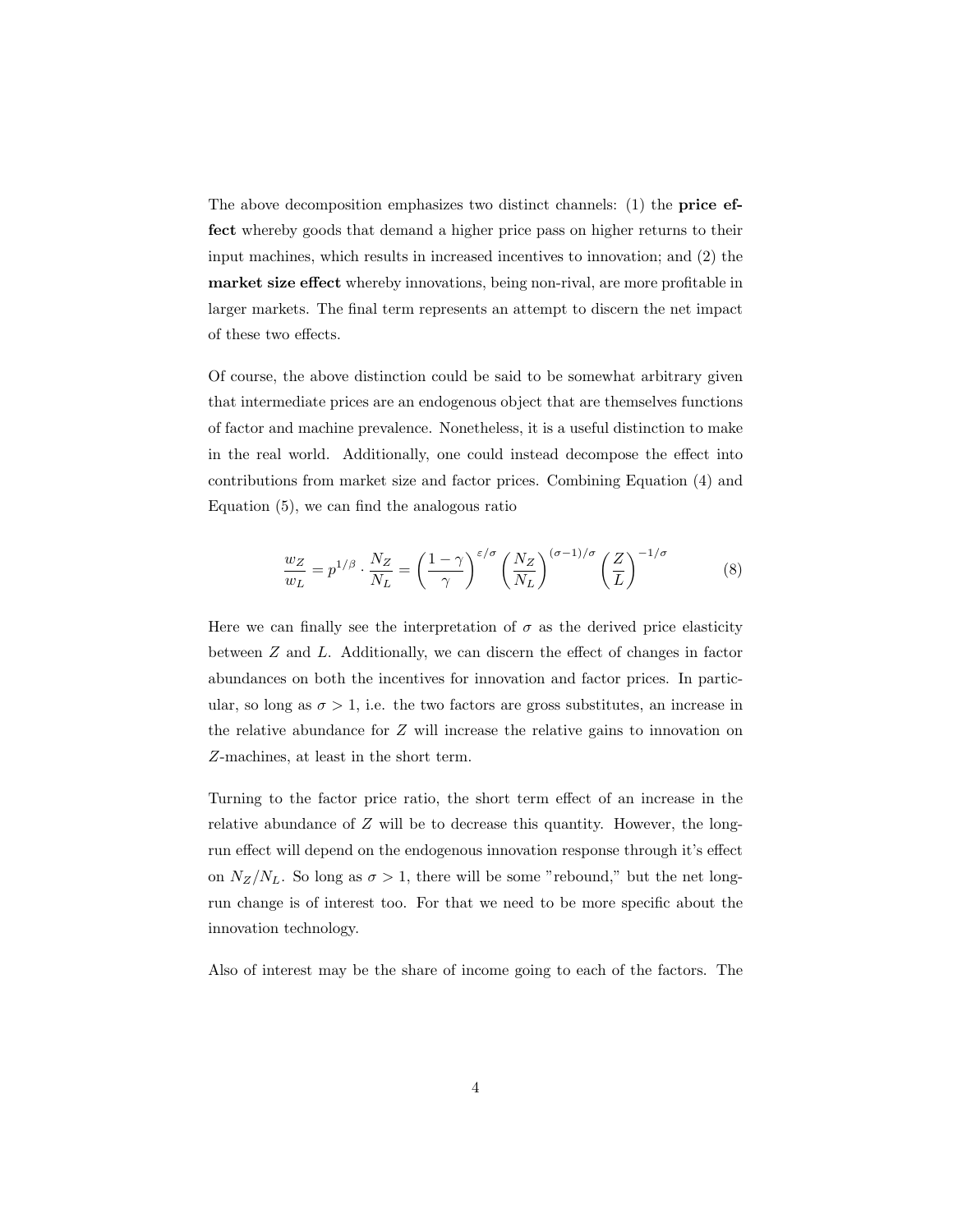The above decomposition emphasizes two distinct channels: (1) the **price ef**fect whereby goods that demand a higher price pass on higher returns to their input machines, which results in increased incentives to innovation; and (2) the market size effect whereby innovations, being non-rival, are more profitable in larger markets. The final term represents an attempt to discern the net impact of these two effects.

Of course, the above distinction could be said to be somewhat arbitrary given that intermediate prices are an endogenous object that are themselves functions of factor and machine prevalence. Nonetheless, it is a useful distinction to make in the real world. Additionally, one could instead decompose the effect into contributions from market size and factor prices. Combining Equation (4) and Equation (5), we can find the analogous ratio

$$
\frac{w_Z}{w_L} = p^{1/\beta} \cdot \frac{N_Z}{N_L} = \left(\frac{1-\gamma}{\gamma}\right)^{\varepsilon/\sigma} \left(\frac{N_Z}{N_L}\right)^{(\sigma-1)/\sigma} \left(\frac{Z}{L}\right)^{-1/\sigma} \tag{8}
$$

Here we can finally see the interpretation of  $\sigma$  as the derived price elasticity between Z and L. Additionally, we can discern the effect of changes in factor abundances on both the incentives for innovation and factor prices. In particular, so long as  $\sigma > 1$ , i.e. the two factors are gross substitutes, an increase in the relative abundance for Z will increase the relative gains to innovation on Z-machines, at least in the short term.

Turning to the factor price ratio, the short term effect of an increase in the relative abundance of Z will be to decrease this quantity. However, the longrun effect will depend on the endogenous innovation response through it's effect on  $N_Z/N_L$ . So long as  $\sigma > 1$ , there will be some "rebound," but the net longrun change is of interest too. For that we need to be more specific about the innovation technology.

Also of interest may be the share of income going to each of the factors. The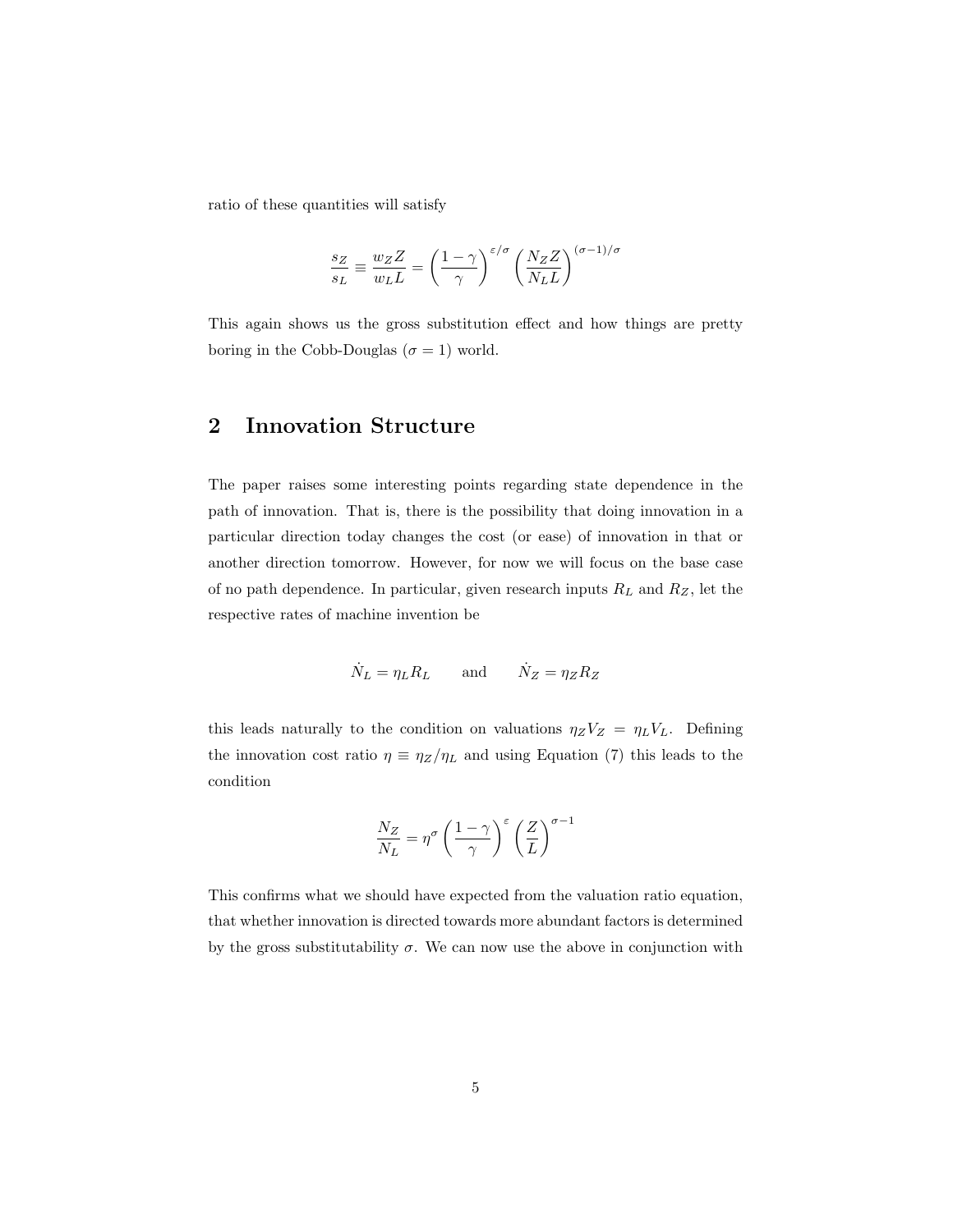ratio of these quantities will satisfy

$$
\frac{s_Z}{s_L} \equiv \frac{w_Z Z}{w_L L} = \left(\frac{1-\gamma}{\gamma}\right)^{\varepsilon/\sigma} \left(\frac{N_Z Z}{N_L L}\right)^{(\sigma-1)/\sigma}
$$

This again shows us the gross substitution effect and how things are pretty boring in the Cobb-Douglas ( $\sigma = 1$ ) world.

## 2 Innovation Structure

The paper raises some interesting points regarding state dependence in the path of innovation. That is, there is the possibility that doing innovation in a particular direction today changes the cost (or ease) of innovation in that or another direction tomorrow. However, for now we will focus on the base case of no path dependence. In particular, given research inputs  $R_L$  and  $R_Z$ , let the respective rates of machine invention be

$$
\dot{N}_L = \eta_L R_L \quad \text{and} \quad \dot{N}_Z = \eta_Z R_Z
$$

this leads naturally to the condition on valuations  $\eta_Z V_Z = \eta_L V_L$ . Defining the innovation cost ratio  $\eta \equiv \eta_Z/\eta_L$  and using Equation (7) this leads to the condition

$$
\frac{N_Z}{N_L} = \eta^\sigma \left(\frac{1-\gamma}{\gamma}\right)^\varepsilon \left(\frac{Z}{L}\right)^{\sigma-1}
$$

This confirms what we should have expected from the valuation ratio equation, that whether innovation is directed towards more abundant factors is determined by the gross substitutability  $\sigma$ . We can now use the above in conjunction with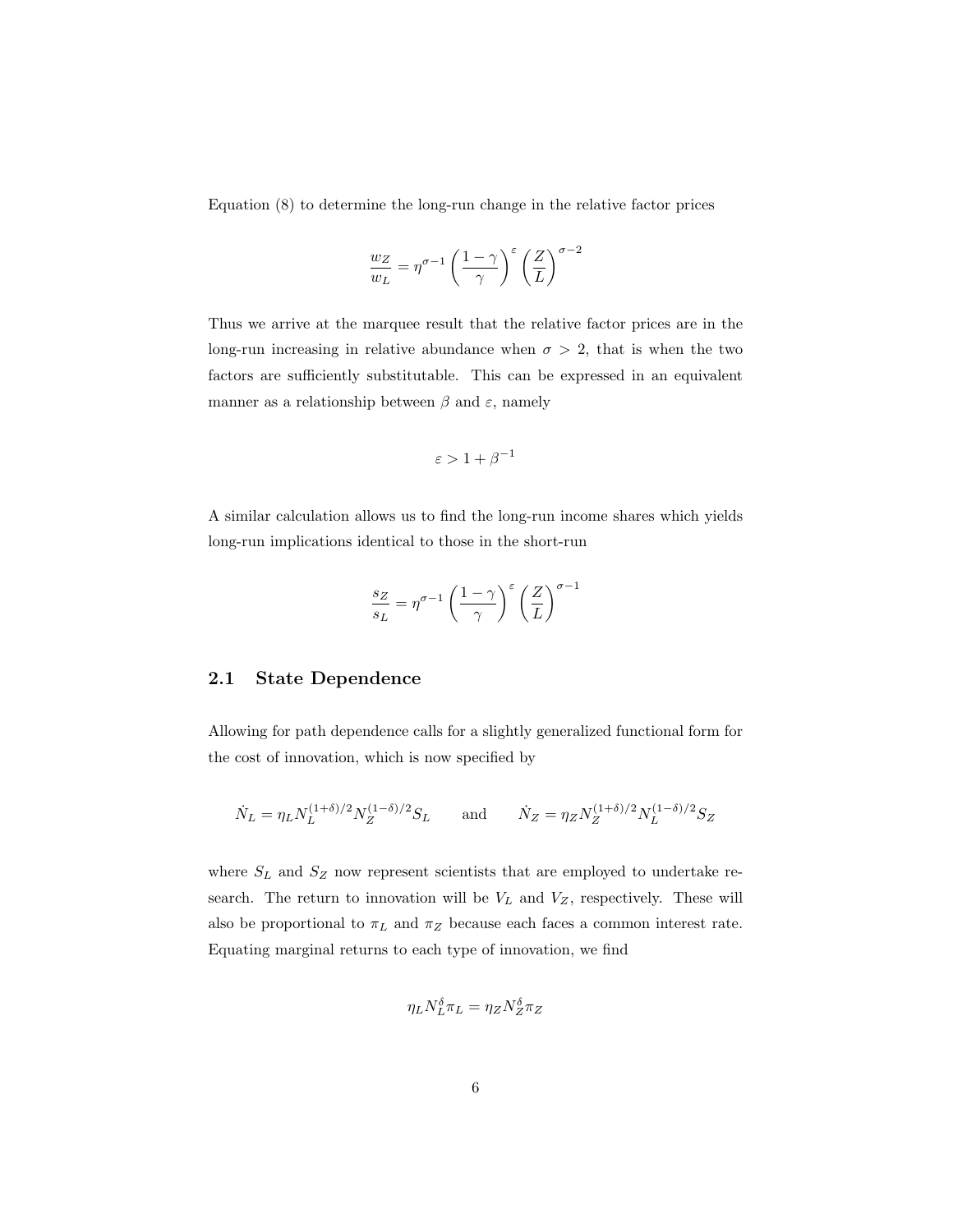Equation (8) to determine the long-run change in the relative factor prices

$$
\frac{w_Z}{w_L} = \eta^{\sigma-1} \left( \frac{1-\gamma}{\gamma} \right)^\varepsilon \left( \frac{Z}{L} \right)^{\sigma-2}
$$

Thus we arrive at the marquee result that the relative factor prices are in the long-run increasing in relative abundance when  $\sigma > 2$ , that is when the two factors are sufficiently substitutable. This can be expressed in an equivalent manner as a relationship between  $\beta$  and  $\varepsilon$ , namely

$$
\varepsilon > 1 + \beta^{-1}
$$

A similar calculation allows us to find the long-run income shares which yields long-run implications identical to those in the short-run

$$
\frac{s_Z}{s_L} = \eta^{\sigma - 1} \left(\frac{1 - \gamma}{\gamma}\right)^{\varepsilon} \left(\frac{Z}{L}\right)^{\sigma - 1}
$$

#### 2.1 State Dependence

Allowing for path dependence calls for a slightly generalized functional form for the cost of innovation, which is now specified by

$$
\dot{N}_L = \eta_L N_L^{(1+\delta)/2} N_Z^{(1-\delta)/2} S_L \quad \text{and} \quad \dot{N}_Z = \eta_Z N_Z^{(1+\delta)/2} N_L^{(1-\delta)/2} S_Z
$$

where  $S_L$  and  $S_Z$  now represent scientists that are employed to undertake research. The return to innovation will be  $V_L$  and  $V_Z$ , respectively. These will also be proportional to  $\pi_L$  and  $\pi_Z$  because each faces a common interest rate. Equating marginal returns to each type of innovation, we find

$$
\eta_L N_L^\delta \pi_L = \eta_Z N_Z^\delta \pi_Z
$$